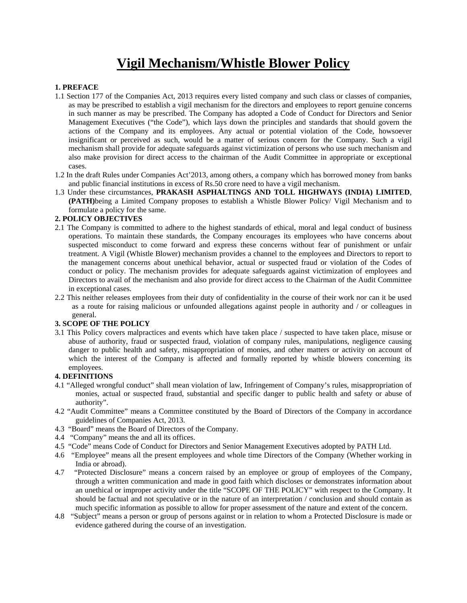# **Vigil Mechanism/Whistle Blower Policy**

### **1. PREFACE**

- 1.1 Section 177 of the Companies Act, 2013 requires every listed company and such class or classes of companies, as may be prescribed to establish a vigil mechanism for the directors and employees to report genuine concerns in such manner as may be prescribed. The Company has adopted a Code of Conduct for Directors and Senior Management Executives ("the Code"), which lays down the principles and standards that should govern the actions of the Company and its employees. Any actual or potential violation of the Code, howsoever insignificant or perceived as such, would be a matter of serious concern for the Company. Such a vigil mechanism shall provide for adequate safeguards against victimization of persons who use such mechanism and also make provision for direct access to the chairman of the Audit Committee in appropriate or exceptional cases.
- 1.2 In the draft Rules under Companies Act'2013, among others, a company which has borrowed money from banks and public financial institutions in excess of Rs.50 crore need to have a vigil mechanism.
- 1.3 Under these circumstances, **PRAKASH ASPHALTINGS AND TOLL HIGHWAYS (INDIA) LIMITED**, **(PATH)**being a Limited Company proposes to establish a Whistle Blower Policy/ Vigil Mechanism and to formulate a policy for the same.

## **2. POLICY OBJECTIVES**

- 2.1 The Company is committed to adhere to the highest standards of ethical, moral and legal conduct of business operations. To maintain these standards, the Company encourages its employees who have concerns about suspected misconduct to come forward and express these concerns without fear of punishment or unfair treatment. A Vigil (Whistle Blower) mechanism provides a channel to the employees and Directors to report to the management concerns about unethical behavior, actual or suspected fraud or violation of the Codes of conduct or policy. The mechanism provides for adequate safeguards against victimization of employees and Directors to avail of the mechanism and also provide for direct access to the Chairman of the Audit Committee in exceptional cases.
- 2.2 This neither releases employees from their duty of confidentiality in the course of their work nor can it be used as a route for raising malicious or unfounded allegations against people in authority and / or colleagues in general.

### **3. SCOPE OF THE POLICY**

3.1 This Policy covers malpractices and events which have taken place / suspected to have taken place, misuse or abuse of authority, fraud or suspected fraud, violation of company rules, manipulations, negligence causing danger to public health and safety, misappropriation of monies, and other matters or activity on account of which the interest of the Company is affected and formally reported by whistle blowers concerning its employees.

# **4. DEFINITIONS**

- 4.1 "Alleged wrongful conduct" shall mean violation of law, Infringement of Company's rules, misappropriation of monies, actual or suspected fraud, substantial and specific danger to public health and safety or abuse of authority".
- 4.2 "Audit Committee" means a Committee constituted by the Board of Directors of the Company in accordance guidelines of Companies Act, 2013.
- 4.3 "Board" means the Board of Directors of the Company.
- 4.4 "Company" means the and all its offices.
- 4.5 "Code" means Code of Conduct for Directors and Senior Management Executives adopted by PATH Ltd.
- 4.6 "Employee" means all the present employees and whole time Directors of the Company (Whether working in India or abroad).
- 4.7 "Protected Disclosure" means a concern raised by an employee or group of employees of the Company, through a written communication and made in good faith which discloses or demonstrates information about an unethical or improper activity under the title "SCOPE OF THE POLICY" with respect to the Company. It should be factual and not speculative or in the nature of an interpretation / conclusion and should contain as much specific information as possible to allow for proper assessment of the nature and extent of the concern.
- 4.8 "Subject" means a person or group of persons against or in relation to whom a Protected Disclosure is made or evidence gathered during the course of an investigation.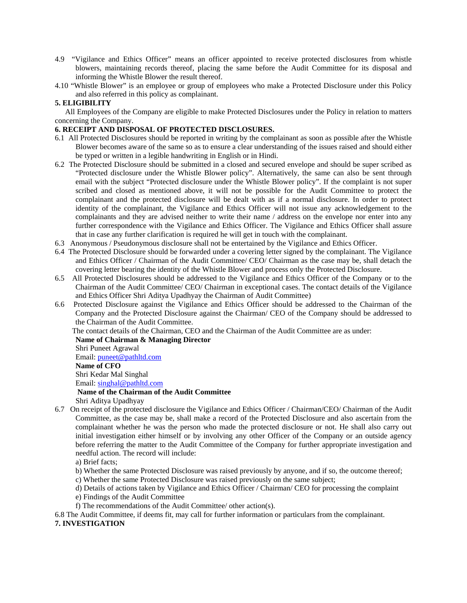- 4.9 "Vigilance and Ethics Officer" means an officer appointed to receive protected disclosures from whistle blowers, maintaining records thereof, placing the same before the Audit Committee for its disposal and informing the Whistle Blower the result thereof.
- 4.10 "Whistle Blower" is an employee or group of employees who make a Protected Disclosure under this Policy and also referred in this policy as complainant.

# **5. ELIGIBILITY**

All Employees of the Company are eligible to make Protected Disclosures under the Policy in relation to matters concerning the Company.

### **6. RECEIPT AND DISPOSAL OF PROTECTED DISCLOSURES.**

- 6.1 All Protected Disclosures should be reported in writing by the complainant as soon as possible after the Whistle Blower becomes aware of the same so as to ensure a clear understanding of the issues raised and should either be typed or written in a legible handwriting in English or in Hindi.
- 6.2 The Protected Disclosure should be submitted in a closed and secured envelope and should be super scribed as "Protected disclosure under the Whistle Blower policy". Alternatively, the same can also be sent through email with the subject "Protected disclosure under the Whistle Blower policy". If the complaint is not super scribed and closed as mentioned above, it will not be possible for the Audit Committee to protect the complainant and the protected disclosure will be dealt with as if a normal disclosure. In order to protect identity of the complainant, the Vigilance and Ethics Officer will not issue any acknowledgement to the complainants and they are advised neither to write their name / address on the envelope nor enter into any further correspondence with the Vigilance and Ethics Officer. The Vigilance and Ethics Officer shall assure that in case any further clarification is required he will get in touch with the complainant.
- 6.3 Anonymous / Pseudonymous disclosure shall not be entertained by the Vigilance and Ethics Officer.
- 6.4 The Protected Disclosure should be forwarded under a covering letter signed by the complainant. The Vigilance and Ethics Officer / Chairman of the Audit Committee/ CEO/ Chairman as the case may be, shall detach the covering letter bearing the identity of the Whistle Blower and process only the Protected Disclosure.
- 6.5 All Protected Disclosures should be addressed to the Vigilance and Ethics Officer of the Company or to the Chairman of the Audit Committee/ CEO/ Chairman in exceptional cases. The contact details of the Vigilance and Ethics Officer Shri Aditya Upadhyay the Chairman of Audit Committee)
- 6.6 Protected Disclosure against the Vigilance and Ethics Officer should be addressed to the Chairman of the Company and the Protected Disclosure against the Chairman/ CEO of the Company should be addressed to the Chairman of the Audit Committee.

The contact details of the Chairman, CEO and the Chairman of the Audit Committee are as under:

#### **Name of Chairman & Managing Director**

Shri Puneet Agrawal

Email: [puneet@pathltd.com](mailto:puneet@pathltd.com)

### **Name of CFO**

Shri Kedar Mal Singhal

Email: [singhal@pathltd.com](mailto:singhal@pathltd.com)

# **Name of the Chairman of the Audit Committee**

Shri Aditya Upadhyay

6.7 On receipt of the protected disclosure the Vigilance and Ethics Officer / Chairman/CEO/ Chairman of the Audit Committee, as the case may be, shall make a record of the Protected Disclosure and also ascertain from the complainant whether he was the person who made the protected disclosure or not. He shall also carry out initial investigation either himself or by involving any other Officer of the Company or an outside agency before referring the matter to the Audit Committee of the Company for further appropriate investigation and needful action. The record will include:

a) Brief facts;

- b) Whether the same Protected Disclosure was raised previously by anyone, and if so, the outcome thereof;
- c) Whether the same Protected Disclosure was raised previously on the same subject;
- d) Details of actions taken by Vigilance and Ethics Officer / Chairman/ CEO for processing the complaint
- e) Findings of the Audit Committee
- f) The recommendations of the Audit Committee/ other action(s).

6.8 The Audit Committee, if deems fit, may call for further information or particulars from the complainant. **7. INVESTIGATION**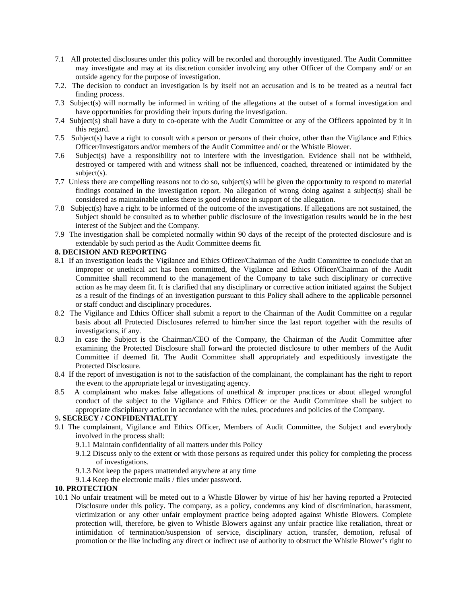- 7.1 All protected disclosures under this policy will be recorded and thoroughly investigated. The Audit Committee may investigate and may at its discretion consider involving any other Officer of the Company and/ or an outside agency for the purpose of investigation.
- 7.2. The decision to conduct an investigation is by itself not an accusation and is to be treated as a neutral fact finding process.
- 7.3 Subject(s) will normally be informed in writing of the allegations at the outset of a formal investigation and have opportunities for providing their inputs during the investigation.
- 7.4 Subject(s) shall have a duty to co-operate with the Audit Committee or any of the Officers appointed by it in this regard.
- 7.5 Subject(s) have a right to consult with a person or persons of their choice, other than the Vigilance and Ethics Officer/Investigators and/or members of the Audit Committee and/ or the Whistle Blower.
- 7.6 Subject(s) have a responsibility not to interfere with the investigation. Evidence shall not be withheld, destroyed or tampered with and witness shall not be influenced, coached, threatened or intimidated by the subject(s).
- 7.7 Unless there are compelling reasons not to do so, subject(s) will be given the opportunity to respond to material findings contained in the investigation report. No allegation of wrong doing against a subject(s) shall be considered as maintainable unless there is good evidence in support of the allegation.
- 7.8 Subject(s) have a right to be informed of the outcome of the investigations. If allegations are not sustained, the Subject should be consulted as to whether public disclosure of the investigation results would be in the best interest of the Subject and the Company.
- 7.9 The investigation shall be completed normally within 90 days of the receipt of the protected disclosure and is extendable by such period as the Audit Committee deems fit.

# **8. DECISION AND REPORTING**

- 8.1 If an investigation leads the Vigilance and Ethics Officer/Chairman of the Audit Committee to conclude that an improper or unethical act has been committed, the Vigilance and Ethics Officer/Chairman of the Audit Committee shall recommend to the management of the Company to take such disciplinary or corrective action as he may deem fit. It is clarified that any disciplinary or corrective action initiated against the Subject as a result of the findings of an investigation pursuant to this Policy shall adhere to the applicable personnel or staff conduct and disciplinary procedures.
- 8.2 The Vigilance and Ethics Officer shall submit a report to the Chairman of the Audit Committee on a regular basis about all Protected Disclosures referred to him/her since the last report together with the results of investigations, if any.
- 8.3 In case the Subject is the Chairman/CEO of the Company, the Chairman of the Audit Committee after examining the Protected Disclosure shall forward the protected disclosure to other members of the Audit Committee if deemed fit. The Audit Committee shall appropriately and expeditiously investigate the Protected Disclosure.
- 8.4 If the report of investigation is not to the satisfaction of the complainant, the complainant has the right to report the event to the appropriate legal or investigating agency.
- 8.5 A complainant who makes false allegations of unethical & improper practices or about alleged wrongful conduct of the subject to the Vigilance and Ethics Officer or the Audit Committee shall be subject to appropriate disciplinary action in accordance with the rules, procedures and policies of the Company.

### 9**. SECRECY / CONFIDENTIALITY**

- 9.1 The complainant, Vigilance and Ethics Officer, Members of Audit Committee, the Subject and everybody involved in the process shall:
	- 9.1.1 Maintain confidentiality of all matters under this Policy
	- 9.1.2 Discuss only to the extent or with those persons as required under this policy for completing the process of investigations.
	- 9.1.3 Not keep the papers unattended anywhere at any time
	- 9.1.4 Keep the electronic mails / files under password.

### **10. PROTECTION**

10.1 No unfair treatment will be meted out to a Whistle Blower by virtue of his/ her having reported a Protected Disclosure under this policy. The company, as a policy, condemns any kind of discrimination, harassment, victimization or any other unfair employment practice being adopted against Whistle Blowers. Complete protection will, therefore, be given to Whistle Blowers against any unfair practice like retaliation, threat or intimidation of termination/suspension of service, disciplinary action, transfer, demotion, refusal of promotion or the like including any direct or indirect use of authority to obstruct the Whistle Blower's right to